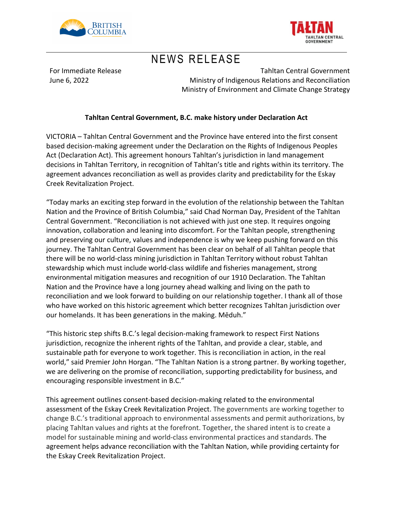



## NEWS RELEASE

For Immediate Release June 6, 2022

Tahltan Central Government Ministry of Indigenous Relations and Reconciliation Ministry of Environment and Climate Change Strategy

### **Tahltan Central Government, B.C. make history under Declaration Act**

VICTORIA – Tahltan Central Government and the Province have entered into the first consent based decision-making agreement under the Declaration on the Rights of Indigenous Peoples Act (Declaration Act). This agreement honours Tahltan's jurisdiction in land management decisions in Tahltan Territory, in recognition of Tahltan's title and rights within its territory. The agreement advances reconciliation as well as provides clarity and predictability for the Eskay Creek Revitalization Project.

"Today marks an exciting step forward in the evolution of the relationship between the Tahltan Nation and the Province of British Columbia," said Chad Norman Day, President of the Tahltan Central Government. "Reconciliation is not achieved with just one step. It requires ongoing innovation, collaboration and leaning into discomfort. For the Tahltan people, strengthening and preserving our culture, values and independence is why we keep pushing forward on this journey. The Tahltan Central Government has been clear on behalf of all Tahltan people that there will be no world-class mining jurisdiction in Tahltan Territory without robust Tahltan stewardship which must include world-class wildlife and fisheries management, strong environmental mitigation measures and recognition of our 1910 Declaration. The Tahltan Nation and the Province have a long journey ahead walking and living on the path to reconciliation and we look forward to building on our relationship together. I thank all of those who have worked on this historic agreement which better recognizes Tahltan jurisdiction over our homelands. It has been generations in the making. Mēduh."

"This historic step shifts B.C.'s legal decision-making framework to respect First Nations jurisdiction, recognize the inherent rights of the Tahltan, and provide a clear, stable, and sustainable path for everyone to work together. This is reconciliation in action, in the real world," said Premier John Horgan. "The Tahltan Nation is a strong partner. By working together, we are delivering on the promise of reconciliation, supporting predictability for business, and encouraging responsible investment in B.C."

This agreement outlines consent-based decision-making related to the environmental assessment of the Eskay Creek Revitalization Project. The governments are working together to change B.C.'s traditional approach to environmental assessments and permit authorizations, by placing Tahltan values and rights at the forefront. Together, the shared intent is to create a model for sustainable mining and world-class environmental practices and standards. The agreement helps advance reconciliation with the Tahltan Nation, while providing certainty for the Eskay Creek Revitalization Project.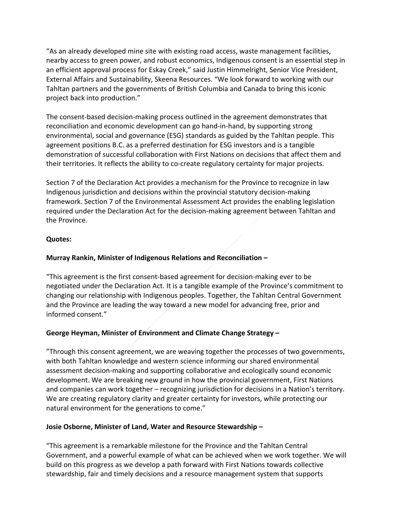"As an already developed mine site with existing road access, waste management facilities, nearby access to green power, and robust economics, Indigenous consent is an essential step in an efficient approval process for Eskay Creek," said Justin Himmelright, Senior Vice President, External Affairs and Sustainability, Skeena Resources. "We look forward to working with our Tahltan partners and the governments of British Columbia and Canada to bring this iconic project back into production."

The consent-based decision-making process outlined in the agreement demonstrates that reconciliation and economic development can go hand-in-hand, by supporting strong environmental, social and governance (ESG) standards as guided by the Tahltan people. This agreement positions B.C. as a preferred destination for ESG investors and is a tangible demonstration of successful collaboration with First Nations on decisions that affect them and their territories. It reflects the ability to co-create regulatory certainty for major projects.

Section 7 of the Declaration Act provides a mechanism for the Province to recognize in law Indigenous jurisdiction and decisions within the provincial statutory decision-making framework. Section 7 of the Environmental Assessment Act provides the enabling legislation required under the Declaration Act for the decision-making agreement between Tahltan and the Province.

#### **Quotes:**

## **Murray Rankin, Minister of Indigenous Relations and Reconciliation –**

"This agreement is the first consent-based agreement for decision-making ever to be negotiated under the Declaration Act. It is a tangible example of the Province's commitment to changing our relationship with Indigenous peoples. Together, the Tahltan Central Government and the Province are leading the way toward a new model for advancing free, prior and informed consent."

## **George Heyman, Minister of Environment and Climate Change Strategy –**

"Through this consent agreement, we are weaving together the processes of two governments, with both Tahltan knowledge and western science informing our shared environmental assessment decision-making and supporting collaborative and ecologically sound economic development. We are breaking new ground in how the provincial government, First Nations and companies can work together – recognizing jurisdiction for decisions in a Nation's territory. We are creating regulatory clarity and greater certainty for investors, while protecting our natural environment for the generations to come."

## **Josie Osborne, Minister of Land, Water and Resource Stewardship –**

"This agreement is a remarkable milestone for the Province and the Tahltan Central Government, and a powerful example of what can be achieved when we work together. We will build on this progress as we develop a path forward with First Nations towards collective stewardship, fair and timely decisions and a resource management system that supports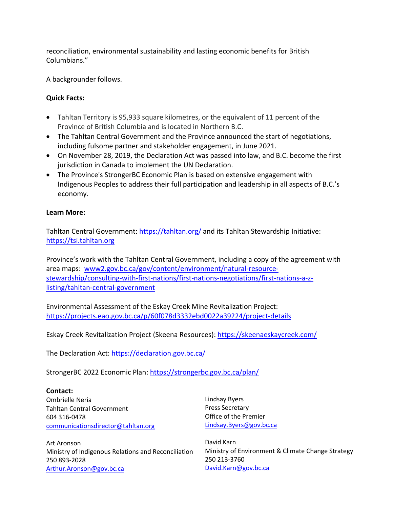reconciliation, environmental sustainability and lasting economic benefits for British Columbians."

A backgrounder follows.

#### **Quick Facts:**

- Tahltan Territory is 95,933 square kilometres, or the equivalent of 11 percent of the Province of British Columbia and is located in Northern B.C.
- The Tahltan Central Government and the Province announced the start of negotiations, including fulsome partner and stakeholder engagement, in June 2021.
- On November 28, 2019, the Declaration Act was passed into law, and B.C. become the first jurisdiction in Canada to implement the UN Declaration.
- The Province's StrongerBC Economic Plan is based on extensive engagement with Indigenous Peoples to address their full participation and leadership in all aspects of B.C.'s economy.

#### **Learn More:**

Tahltan Central Government: https://tahltan.org/ and its Tahltan Stewardship Initiative: https://tsi.tahltan.org

Province's work with the Tahltan Central Government, including a copy of the agreement with area maps: www2.gov.bc.ca/gov/content/environment/natural-resourcestewardship/consulting-with-first-nations/first-nations-negotiations/first-nations-a-zlisting/tahltan-central-government

Environmental Assessment of the Eskay Creek Mine Revitalization Project: https://projects.eao.gov.bc.ca/p/60f078d3332ebd0022a39224/project-details

Eskay Creek Revitalization Project (Skeena Resources): https://skeenaeskaycreek.com/

The Declaration Act: https://declaration.gov.bc.ca/

StrongerBC 2022 Economic Plan: https://strongerbc.gov.bc.ca/plan/

**Contact:** Ombrielle Neria Tahltan Central Government 604 316-0478 communicationsdirector@tahltan.org

Art Aronson Ministry of Indigenous Relations and Reconciliation 250 893-2028 Arthur.Aronson@gov.bc.ca

Lindsay Byers Press Secretary Office of the Premier Lindsay.Byers@gov.bc.ca

David Karn Ministry of Environment & Climate Change Strategy 250 213-3760 David.Karn@gov.bc.ca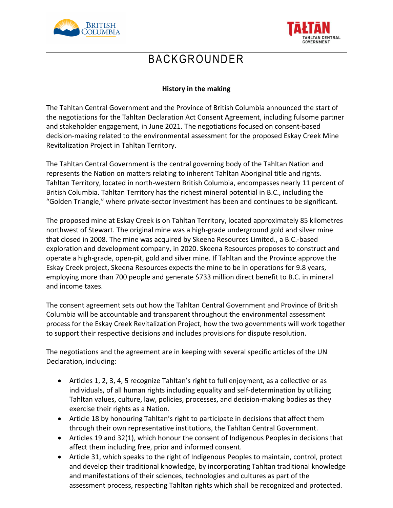



## BACKGROUNDER

## **History in the making**

The Tahltan Central Government and the Province of British Columbia announced the start of the negotiations for the Tahltan Declaration Act Consent Agreement, including fulsome partner and stakeholder engagement, in June 2021. The negotiations focused on consent-based decision-making related to the environmental assessment for the proposed Eskay Creek Mine Revitalization Project in Tahltan Territory.

The Tahltan Central Government is the central governing body of the Tahltan Nation and represents the Nation on matters relating to inherent Tahltan Aboriginal title and rights. Tahltan Territory, located in north-western British Columbia, encompasses nearly 11 percent of British Columbia. Tahltan Territory has the richest mineral potential in B.C., including the "Golden Triangle," where private-sector investment has been and continues to be significant.

The proposed mine at Eskay Creek is on Tahltan Territory, located approximately 85 kilometres northwest of Stewart. The original mine was a high-grade underground gold and silver mine that closed in 2008. The mine was acquired by Skeena Resources Limited., a B.C.-based exploration and development company, in 2020. Skeena Resources proposes to construct and operate a high-grade, open-pit, gold and silver mine. If Tahltan and the Province approve the Eskay Creek project, Skeena Resources expects the mine to be in operations for 9.8 years, employing more than 700 people and generate \$733 million direct benefit to B.C. in mineral and income taxes.

The consent agreement sets out how the Tahltan Central Government and Province of British Columbia will be accountable and transparent throughout the environmental assessment process for the Eskay Creek Revitalization Project, how the two governments will work together to support their respective decisions and includes provisions for dispute resolution.

The negotiations and the agreement are in keeping with several specific articles of the UN Declaration, including:

- Articles 1, 2, 3, 4, 5 recognize Tahltan's right to full enjoyment, as a collective or as individuals, of all human rights including equality and self-determination by utilizing Tahltan values, culture, law, policies, processes, and decision-making bodies as they exercise their rights as a Nation.
- Article 18 by honouring Tahltan's right to participate in decisions that affect them through their own representative institutions, the Tahltan Central Government.
- Articles 19 and 32(1), which honour the consent of Indigenous Peoples in decisions that affect them including free, prior and informed consent.
- Article 31, which speaks to the right of Indigenous Peoples to maintain, control, protect and develop their traditional knowledge, by incorporating Tahltan traditional knowledge and manifestations of their sciences, technologies and cultures as part of the assessment process, respecting Tahltan rights which shall be recognized and protected.